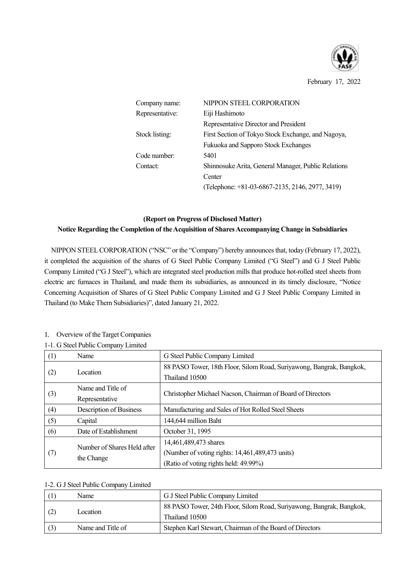

February 17, 2022

| Company name:   | NIPPON STEEL CORPORATION                            |
|-----------------|-----------------------------------------------------|
| Representative: | Eiji Hashimoto                                      |
|                 | Representative Director and President               |
| Stock listing:  | First Section of Tokyo Stock Exchange, and Nagoya,  |
|                 | Fukuoka and Sapporo Stock Exchanges                 |
| Code number:    | 5401                                                |
| Contact:        | Shinnosuke Arita, General Manager, Public Relations |
|                 | Center                                              |
|                 | (Telephone: +81-03-6867-2135, 2146, 2977, 3419)     |

## **(Report on Progress of Disclosed Matter)** Notice Regarding the Completion of the Acquisition of Shares Accompanying Change in Subsidiaries

NIPPON STEEL CORPORATION ("NSC" or the "Company") hereby announces that, today (February 17, 2022), it completed the acquisition of the shares of G Steel Public Company Limited ("G Steel") and G J Steel Public Company Limited ("G J Steel"), which are integrated steel production mills that produce hot-rolled steel sheets from electric arc furnaces in Thailand, and made them its subsidiaries, as announced in its timely disclosure, "Notice Concerning Acquisition of Shares of G Steel Public Company Limited and G J Steel Public Company Limited in Thailand (to Make Them Subsidiaries)", dated January 21, 2022.

| (1) | Name                                      | G Steel Public Company Limited                                       |
|-----|-------------------------------------------|----------------------------------------------------------------------|
| (2) | Location                                  | 88 PASO Tower, 18th Floor, Silom Road, Suriyawong, Bangrak, Bangkok, |
|     |                                           | Thailand 10500                                                       |
| (3) | Name and Title of                         | Christopher Michael Nacson, Chairman of Board of Directors           |
|     | Representative                            |                                                                      |
| (4) | Description of Business                   | Manufacturing and Sales of Hot Rolled Steel Sheets                   |
| (5) | Capital                                   | 144,644 million Baht                                                 |
| (6) | Date of Establishment                     | October 31, 1995                                                     |
| (7) | Number of Shares Held after<br>the Change | 14,461,489,473 shares                                                |
|     |                                           | (Number of voting rights: 14,461,489,473 units)                      |
|     |                                           | (Ratio of voting rights held: 49.99%)                                |

1. Overview of the Target Companies 1-1. G Steel Public Company Limited

## 1-2. G J Steel Public Company Limited

|          | Name              | G J Steel Public Company Limited                                     |
|----------|-------------------|----------------------------------------------------------------------|
| Location |                   | 88 PASO Tower, 24th Floor, Silom Road, Suriyawong, Bangrak, Bangkok, |
|          |                   | Thailand 10500                                                       |
| (3)      | Name and Title of | Stephen Karl Stewart, Chairman of the Board of Directors             |